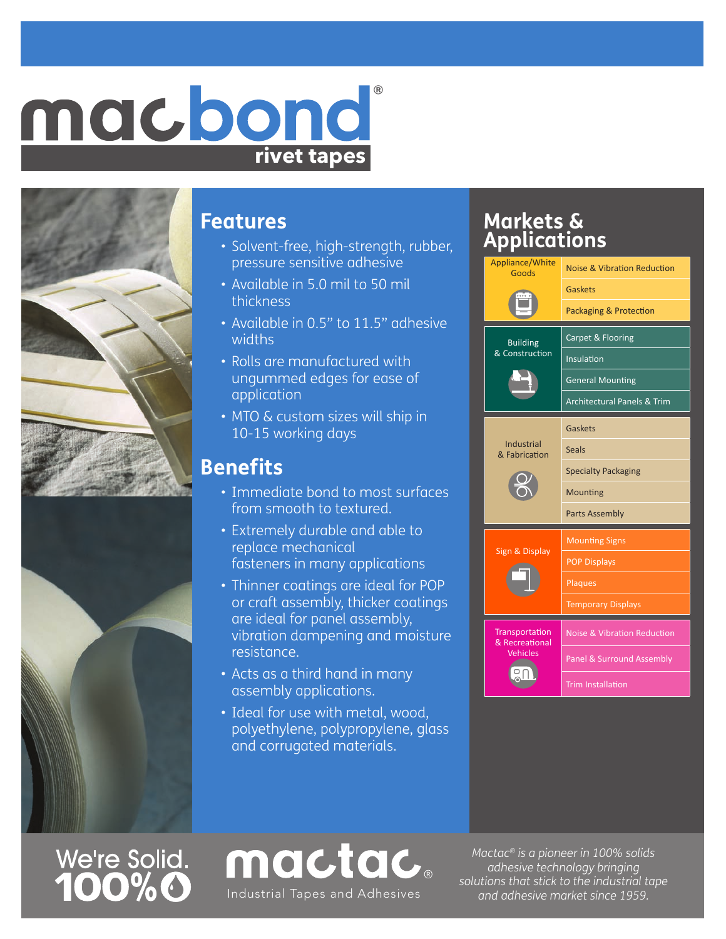## **rivet tapes** macbond





We're Solid.<br>**100%0** 

#### **Features**

- Solvent-free, high-strength, rubber, pressure sensitive adhesive
- Available in 5.0 mil to 50 mil thickness
- Available in 0.5" to 11.5" adhesive widths
- Rolls are manufactured with ungummed edges for ease of application
- MTO & custom sizes will ship in 10-15 working days

### **Benefits**

- Immediate bond to most surfaces from smooth to textured.
- Extremely durable and able to replace mechanical fasteners in many applications
- Thinner coatings are ideal for POP or craft assembly, thicker coatings are ideal for panel assembly, vibration dampening and moisture resistance.
- Acts as a third hand in many assembly applications.
- Ideal for use with metal, wood, polyethylene, polypropylene, glass and corrugated materials.

mactac.

Industrial Tapes and Adhesives and and adhesive market since 1959.

### **Markets & Applications**



*Mactac® is a pioneer in 100% solids adhesive technology bringing solutions that stick to the industrial tape*